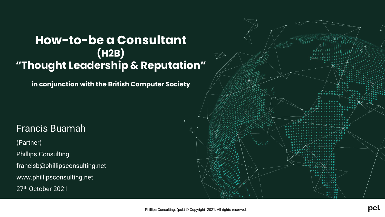### **How-to-be a Consultant (H2B) "Thought Leadership & Reputation"**

**in conjunction with the British Computer Society**

### Francis Buamah

(Partner)

**Phillips Consulting** 

francisb@phillipsconsulting.net

www.phillipsconsulting.net

27th October 2021

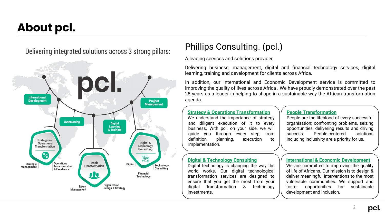## **About pcl.**

Delivering integrated solutions across 3 strong pillars:



### Phillips Consulting. (pcl.)

A leading services and solutions provider.

Delivering business, management, digital and financial technology services, digital learning, training and development for clients across Africa.

In addition, our International and Economic Development service is committed to improving the quality of lives across Africa . We have proudly demonstrated over the past 28 years as a leader in helping to shape in a sustainable way the African transformation agenda.

### **Strategy & Operations Transformation**

We understand the importance of strategy and diligent execution of it to every business. With pcl. on your side, we will guide you through every step, from definition, planning, execution to implementation.

#### **Digital & Technology Consulting**

Digital technology is changing the way the world works. Our digital technological transformation services are designed to ensure that you get the most from your digital transformation & technology investments.

### **People Transformation**

People are the lifeblood of every successful organisation; confronting problems, seizing opportunities, delivering results and driving success. People-centered solutions including inclusivity are a priority for us.

#### **International & Economic Development**

We are committed to improving the quality of life of Africans. Our mission is to design & deliver meaningful interventions to the most vulnerable communities. We support and foster opportunities for sustainable development and inclusion.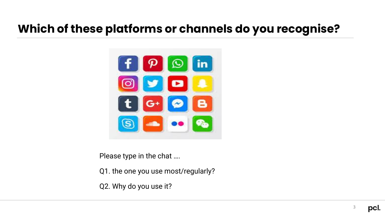## **Which of these platforms or channels do you recognise?**



Please type in the chat ….

Q1. the one you use most/regularly?

Q2. Why do you use it?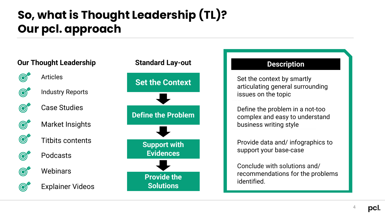# **So, what is Thought Leadership (TL)? Our pcl. approach**

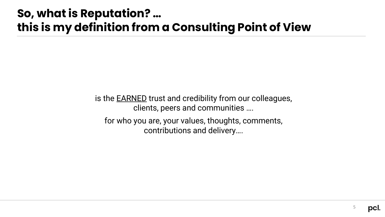## **So, what is Reputation? … this is my definition from a Consulting Point of View**

is the **EARNED** trust and credibility from our colleagues, clients, peers and communities …. for who you are, your values, thoughts, comments, contributions and delivery….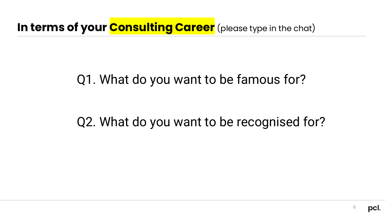In terms of your **Consulting Career** (please type in the chat)

# Q1. What do you want to be famous for?

## Q2. What do you want to be recognised for?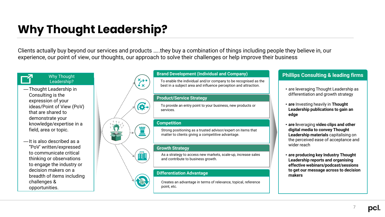## **Why Thought Leadership?**

Clients actually buy beyond our services and products …..they buy a combination of things including people they believe in, our experience, our point of view, our thoughts, our approach to solve their challenges or help improve their business

### Why Thought Leadership?

- —Thought Leadership in Consulting is the expression of your ideas/Point of View (PoV) that are shared to demonstrate your knowledge/expertise in a field, area or topic.
- —It is also described as a "PoV' written/expressed to communicate critical thinking or observations to engage the industry or decision makers on a breadth of items including challenges & opportunities.

### **Brand Development (Individual and Company)**

To enable the individual and/or company to be recognised as the best in a subject area and influence perception and attraction.

#### **Product/Service Strategy**

To provide an entry point to your business, new products or services.

#### **Competition**

Strong positioning as a trusted advisor/expert on items that matter to clients giving a competitive advantage.

#### **Growth Strategy**



6

As a strategy to access new markets, scale-up, increase sales and contribute to business growth.

#### **Differentiation Advantage**

Creates an advantage in terms of relevance, topical, reference point, etc.

### **Phillips Consulting & leading firms**

- are leveraging Thought Leadership as differentiation and growth strategy
- **are** Investing heavily in **Thought Leadership publications to gain an edge**
- **are l**everaging **video clips and other digital media to convey Thought Leadership materials** capitalising on the perceived ease of acceptance and wider reach
- **are producing key Industry Thought Leadership reports and organising effective webinars/podcast/sessions to get our message across to decision makers**

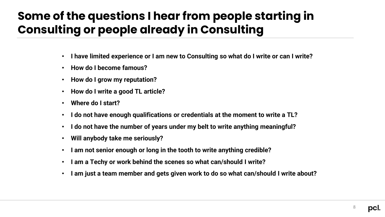## **Some of the questions I hear from people starting in Consulting or people already in Consulting**

- **I have limited experience or I am new to Consulting so what do I write or can I write?**
- **How do I become famous?**
- **How do I grow my reputation?**
- **How do I write a good TL article?**
- **Where do I start?**
- **I do not have enough qualifications or credentials at the moment to write a TL?**
- **I do not have the number of years under my belt to write anything meaningful?**
- **Will anybody take me seriously?**
- **I am not senior enough or long in the tooth to write anything credible?**
- **I am a Techy or work behind the scenes so what can/should I write?**
- **I am just a team member and gets given work to do so what can/should I write about?**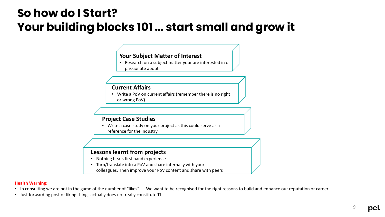### **So how do I Start? Your building blocks 101 … start small and grow it**

### **Your Subject Matter of Interest**

• Research on a subject matter your are interested in or passionate about

### **Current Affairs**

• Write a PoV on current affairs (remember there is no right or wrong PoV)

### **Project Case Studies**

• Write a case study on your project as this could serve as a reference for the industry

### **Lessons learnt from projects**

- Nothing beats first hand experience
- Turn/translate into a PoV and share internally with your colleagues. Then improve your PoV content and share with peers

#### **Health Warning:**

- In consulting we are not in the game of the number of "likes" …. We want to be recognised for the right reasons to build and enhance our reputation or career
- Just forwarding post or liking things actually does not really constitute TL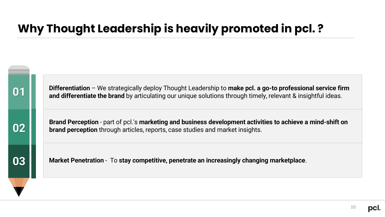## **Why Thought Leadership is heavily promoted in pcl. ?**



**Differentiation** – We strategically deploy Thought Leadership to **make pcl. a go-to professional service firm and differentiate the brand** by articulating our unique solutions through timely, relevant & insightful ideas.

**02**

**Brand Perception** - part of pcl.'s **marketing and business development activities to achieve a mind-shift on brand perception** through articles, reports, case studies and market insights.

**03**

**Market Penetration** - To **stay competitive, penetrate an increasingly changing marketplace**.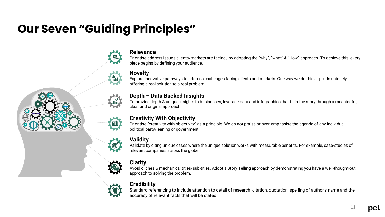## **Our Seven "Guiding Principles"**



### **Relevance**

Prioritise address issues clients/markets are facing**,** by adopting the "why", "what" & "How" approach. To achieve this, every piece begins by defining your audience.

### **Novelty**

Explore innovative pathways to address challenges facing clients and markets. One way we do this at pcl. Is uniquely offering a real solution to a real problem.

### **Depth – Data Backed Insights**

To provide depth & unique insights to businesses, leverage data and infographics that fit in the story through a meaningful, clear and original approach.

### **Creativity With Objectivity**

Prioritise "creativity with objectivity" as a principle. We do not praise or over-emphasise the agenda of any individual, political party/leaning or government.

### **Validity**

Validate by citing unique cases where the unique solution works with measurable benefits. For example, case-studies of relevant companies across the globe.

### **Clarity**

Avoid cliches & mechanical titles/sub-titles. Adopt a Story Telling approach by demonstrating you have a well-thought-out approach to solving the problem.



### **Credibility**

Standard referencing to include attention to detail of research, citation, quotation, spelling of author's name and the accuracy of relevant facts that will be stated.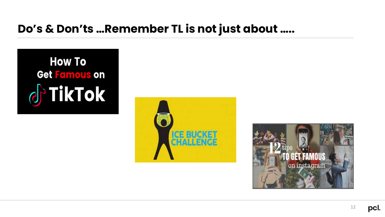### **Do's & Don'ts …Remember TL is not just about …..**





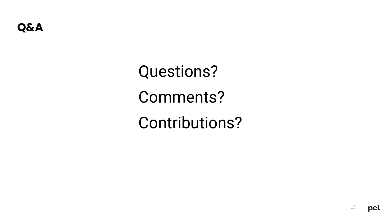Questions? Comments? Contributions?